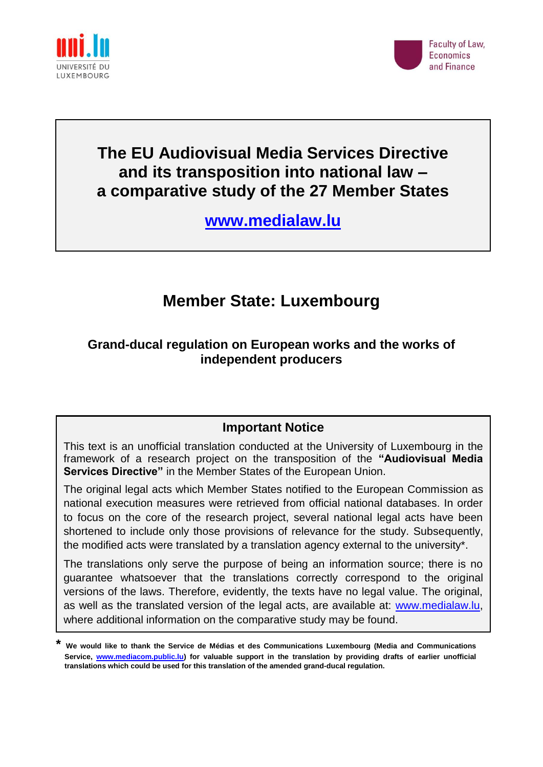



# **The EU Audiovisual Media Services Directive and its transposition into national law – a comparative study of the 27 Member States**

**[www.medialaw.lu](http://www.medialaw.lu/)**

# **Member State: Luxembourg**

# **Grand-ducal regulation on European works and the works of independent producers**

# **Important Notice**

This text is an unofficial translation conducted at the University of Luxembourg in the framework of a research project on the transposition of the **"Audiovisual Media Services Directive"** in the Member States of the European Union.

The original legal acts which Member States notified to the European Commission as national execution measures were retrieved from official national databases. In order to focus on the core of the research project, several national legal acts have been shortened to include only those provisions of relevance for the study. Subsequently, the modified acts were translated by a translation agency external to the university\*.

The translations only serve the purpose of being an information source; there is no guarantee whatsoever that the translations correctly correspond to the original versions of the laws. Therefore, evidently, the texts have no legal value. The original, as well as the translated version of the legal acts, are available at: [www.medialaw.lu,](http://www.medialaw.lu/) where additional information on the comparative study may be found.

**<sup>\*</sup> We would like to thank the Service de Médias et des Communications Luxembourg (Media and Communications Service, [www.mediacom.public.lu\)](http://www.mediacom.public.lu/) for valuable support in the translation by providing drafts of earlier unofficial translations which could be used for this translation of the amended grand-ducal regulation.**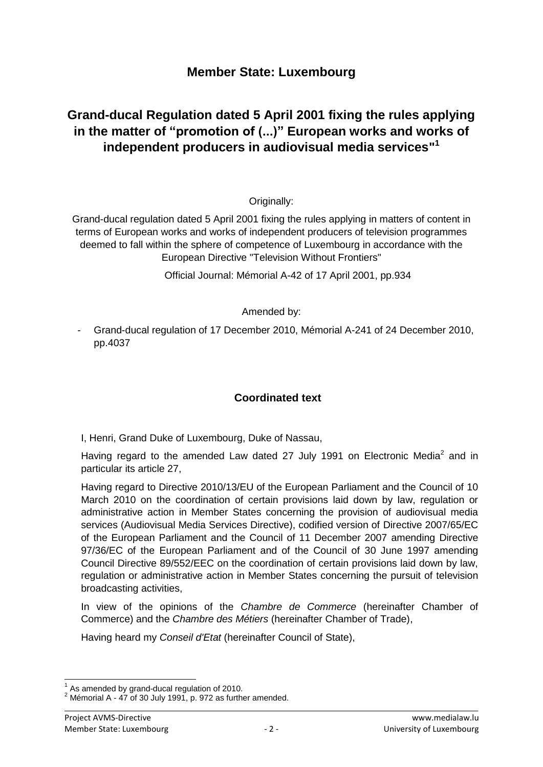# **Member State: Luxembourg**

# **Grand-ducal Regulation dated 5 April 2001 fixing the rules applying in the matter of "promotion of (...)" European works and works of independent producers in audiovisual media services" 1**

# Originally:

Grand-ducal regulation dated 5 April 2001 fixing the rules applying in matters of content in terms of European works and works of independent producers of television programmes deemed to fall within the sphere of competence of Luxembourg in accordance with the European Directive "Television Without Frontiers"

Official Journal: Mémorial A-42 of 17 April 2001, pp.934

### Amended by:

- Grand-ducal regulation of 17 December 2010, Mémorial A-241 of 24 December 2010, pp.4037

# **Coordinated text**

I, Henri, Grand Duke of Luxembourg, Duke of Nassau,

Having regard to the amended Law dated 27 July 1991 on Electronic Media<sup>2</sup> and in particular its article 27,

Having regard to Directive 2010/13/EU of the European Parliament and the Council of 10 March 2010 on the coordination of certain provisions laid down by law, regulation or administrative action in Member States concerning the provision of audiovisual media services (Audiovisual Media Services Directive), codified version of Directive 2007/65/EC of the European Parliament and the Council of 11 December 2007 amending Directive 97/36/EC of the European Parliament and of the Council of 30 June 1997 amending Council Directive 89/552/EEC on the coordination of certain provisions laid down by law, regulation or administrative action in Member States concerning the pursuit of television broadcasting activities,

In view of the opinions of the *Chambre de Commerce* (hereinafter Chamber of Commerce) and the *Chambre des Métiers* (hereinafter Chamber of Trade),

Having heard my *Conseil d'Etat* (hereinafter Council of State),

<sup>-</sup> $1$  As amended by grand-ducal regulation of 2010.

 $2$  Mémorial A - 47 of 30 July 1991, p. 972 as further amended.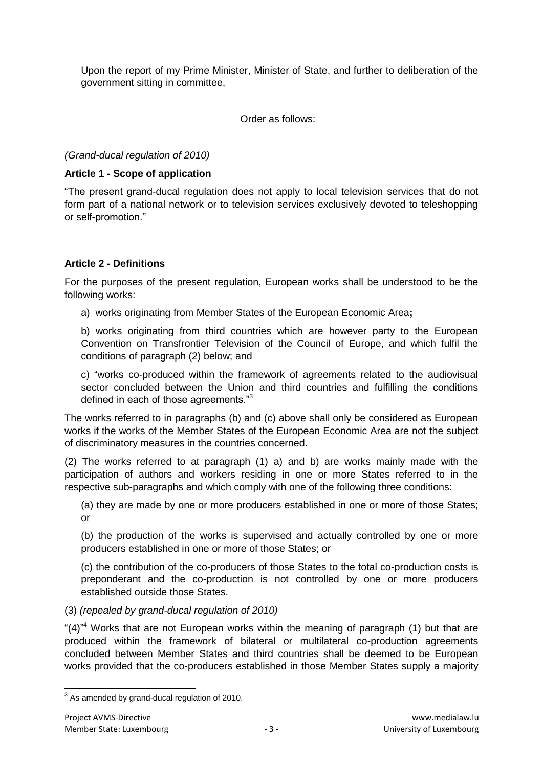Upon the report of my Prime Minister, Minister of State, and further to deliberation of the government sitting in committee,

Order as follows:

*(Grand-ducal regulation of 2010)*

## **Article 1 - Scope of application**

"The present grand-ducal regulation does not apply to local television services that do not form part of a national network or to television services exclusively devoted to teleshopping or self-promotion."

# **Article 2 - Definitions**

For the purposes of the present regulation, European works shall be understood to be the following works:

a) works originating from Member States of the European Economic Area**;**

b) works originating from third countries which are however party to the European Convention on Transfrontier Television of the Council of Europe, and which fulfil the conditions of paragraph (2) below; and

c) "works co-produced within the framework of agreements related to the audiovisual sector concluded between the Union and third countries and fulfilling the conditions defined in each of those agreements."<sup>3</sup>

The works referred to in paragraphs (b) and (c) above shall only be considered as European works if the works of the Member States of the European Economic Area are not the subject of discriminatory measures in the countries concerned.

(2) The works referred to at paragraph (1) a) and b) are works mainly made with the participation of authors and workers residing in one or more States referred to in the respective sub-paragraphs and which comply with one of the following three conditions:

(a) they are made by one or more producers established in one or more of those States; or

(b) the production of the works is supervised and actually controlled by one or more producers established in one or more of those States; or

(c) the contribution of the co-producers of those States to the total co-production costs is preponderant and the co-production is not controlled by one or more producers established outside those States.

## (3) *(repealed by grand-ducal regulation of 2010)*

"(4)<sup>"4</sup> Works that are not European works within the meaning of paragraph (1) but that are produced within the framework of bilateral or multilateral co-production agreements concluded between Member States and third countries shall be deemed to be European works provided that the co-producers established in those Member States supply a majority

 3 As amended by grand-ducal regulation of 2010.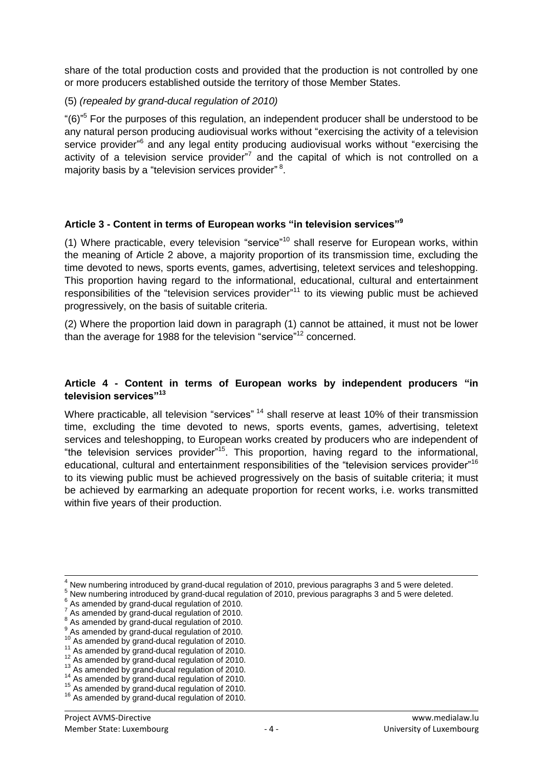share of the total production costs and provided that the production is not controlled by one or more producers established outside the territory of those Member States.

## (5) *(repealed by grand-ducal regulation of 2010)*

"(6)<sup>"5</sup> For the purposes of this regulation, an independent producer shall be understood to be any natural person producing audiovisual works without "exercising the activity of a television service provider"<sup>6</sup> and any legal entity producing audiovisual works without "exercising the activity of a television service provider"<sup>7</sup> and the capital of which is not controlled on a majority basis by a "television services provider"<sup>8</sup>.

### **Article 3 - Content in terms of European works "in television services"<sup>9</sup>**

(1) Where practicable, every television "service"<sup>10</sup> shall reserve for European works, within the meaning of Article 2 above, a majority proportion of its transmission time, excluding the time devoted to news, sports events, games, advertising, teletext services and teleshopping. This proportion having regard to the informational, educational, cultural and entertainment responsibilities of the "television services provider"<sup>11</sup> to its viewing public must be achieved progressively, on the basis of suitable criteria.

(2) Where the proportion laid down in paragraph (1) cannot be attained, it must not be lower than the average for 1988 for the television "service"<sup>12</sup> concerned.

#### **Article 4 - Content in terms of European works by independent producers "in television services"<sup>13</sup>**

Where practicable, all television "services" <sup>14</sup> shall reserve at least 10% of their transmission time, excluding the time devoted to news, sports events, games, advertising, teletext services and teleshopping, to European works created by producers who are independent of "the television services provider"<sup>15</sup>. This proportion, having regard to the informational, educational, cultural and entertainment responsibilities of the "television services provider"<sup>16</sup> to its viewing public must be achieved progressively on the basis of suitable criteria; it must be achieved by earmarking an adequate proportion for recent works, i.e. works transmitted within five years of their production.

l

 $^1$  New numbering introduced by grand-ducal regulation of 2010, previous paragraphs 3 and 5 were deleted.

<sup>5</sup> New numbering introduced by grand-ducal regulation of 2010, previous paragraphs 3 and 5 were deleted.

 $6$  As amended by grand-ducal regulation of 2010.

 $^7$  As amended by grand-ducal regulation of 2010.

 $<sup>8</sup>$  As amended by grand-ducal regulation of 2010.</sup>

<sup>9</sup> As amended by grand-ducal regulation of 2010.

<sup>&</sup>lt;sup>10</sup> As amended by grand-ducal regulation of 2010.

<sup>&</sup>lt;sup>11</sup> As amended by grand-ducal regulation of 2010.

<sup>12</sup> As amended by grand-ducal regulation of 2010.

 $13$  As amended by grand-ducal regulation of 2010.

 $14$  As amended by grand-ducal regulation of 2010. <sup>15</sup> As amended by grand-ducal regulation of 2010.

<sup>&</sup>lt;sup>16</sup> As amended by grand-ducal regulation of 2010.